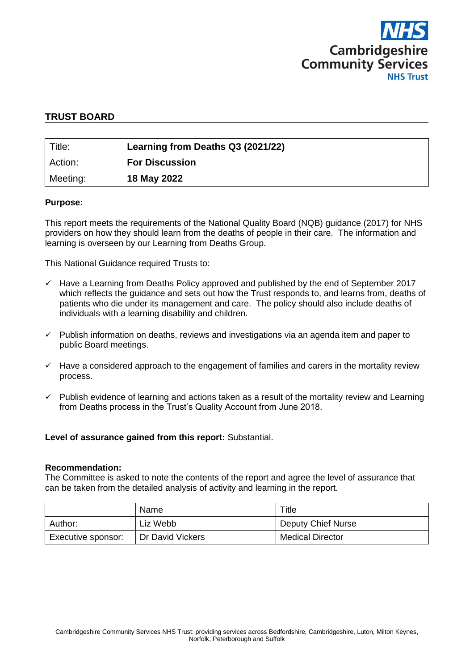

# **TRUST BOARD**

| Title:   | Learning from Deaths Q3 (2021/22) |
|----------|-----------------------------------|
| Action:  | <b>For Discussion</b>             |
| Meeting: | 18 May 2022                       |

### **Purpose:**

This report meets the requirements of the National Quality Board (NQB) guidance (2017) for NHS providers on how they should learn from the deaths of people in their care. The information and learning is overseen by our Learning from Deaths Group.

This National Guidance required Trusts to:

- $\checkmark$  Have a Learning from Deaths Policy approved and published by the end of September 2017 which reflects the quidance and sets out how the Trust responds to, and learns from, deaths of patients who die under its management and care. The policy should also include deaths of individuals with a learning disability and children.
- $\checkmark$  Publish information on deaths, reviews and investigations via an agenda item and paper to public Board meetings.
- $\checkmark$  Have a considered approach to the engagement of families and carers in the mortality review process.
- $\checkmark$  Publish evidence of learning and actions taken as a result of the mortality review and Learning from Deaths process in the Trust's Quality Account from June 2018.

#### **Level of assurance gained from this report:** Substantial.

#### **Recommendation:**

The Committee is asked to note the contents of the report and agree the level of assurance that can be taken from the detailed analysis of activity and learning in the report.

|                                        | Name     | $\tau$ itle             |  |  |
|----------------------------------------|----------|-------------------------|--|--|
| Author:                                | Liz Webb | Deputy Chief Nurse      |  |  |
| Dr David Vickers<br>Executive sponsor: |          | <b>Medical Director</b> |  |  |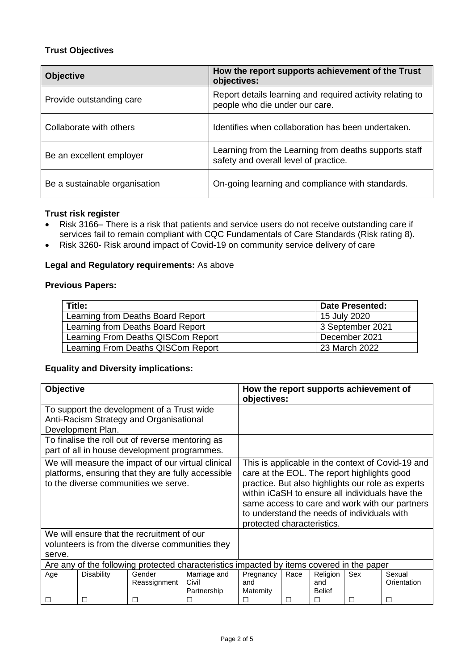# **Trust Objectives**

| <b>Objective</b>              | How the report supports achievement of the Trust<br>objectives:                                |  |  |  |
|-------------------------------|------------------------------------------------------------------------------------------------|--|--|--|
| Provide outstanding care      | Report details learning and required activity relating to<br>people who die under our care.    |  |  |  |
| Collaborate with others       | Identifies when collaboration has been undertaken.                                             |  |  |  |
| Be an excellent employer      | Learning from the Learning from deaths supports staff<br>safety and overall level of practice. |  |  |  |
| Be a sustainable organisation | On-going learning and compliance with standards.                                               |  |  |  |

### **Trust risk register**

- Risk 3166– There is a risk that patients and service users do not receive outstanding care if services fail to remain compliant with CQC Fundamentals of Care Standards (Risk rating 8).
- Risk 3260- Risk around impact of Covid-19 on community service delivery of care

### **Legal and Regulatory requirements:** As above

### **Previous Papers:**

| Title:                             | <b>Date Presented:</b> |
|------------------------------------|------------------------|
| Learning from Deaths Board Report  | 15 July 2020           |
| Learning from Deaths Board Report  | 3 September 2021       |
| Learning From Deaths QISCom Report | December 2021          |
| Learning From Deaths QISCom Report | 23 March 2022          |

### **Equality and Diversity implications:**

| <b>Objective</b>                                                                                                                                 |                   |                        |                                                                                                                                                                                                                                                                                                                                         | How the report supports achievement of<br>objectives: |      |                                  |     |                       |
|--------------------------------------------------------------------------------------------------------------------------------------------------|-------------------|------------------------|-----------------------------------------------------------------------------------------------------------------------------------------------------------------------------------------------------------------------------------------------------------------------------------------------------------------------------------------|-------------------------------------------------------|------|----------------------------------|-----|-----------------------|
| To support the development of a Trust wide<br>Anti-Racism Strategy and Organisational<br>Development Plan.                                       |                   |                        |                                                                                                                                                                                                                                                                                                                                         |                                                       |      |                                  |     |                       |
| To finalise the roll out of reverse mentoring as<br>part of all in house development programmes.                                                 |                   |                        |                                                                                                                                                                                                                                                                                                                                         |                                                       |      |                                  |     |                       |
| We will measure the impact of our virtual clinical<br>platforms, ensuring that they are fully accessible<br>to the diverse communities we serve. |                   |                        | This is applicable in the context of Covid-19 and<br>care at the EOL. The report highlights good<br>practice. But also highlights our role as experts<br>within iCaSH to ensure all individuals have the<br>same access to care and work with our partners<br>to understand the needs of individuals with<br>protected characteristics. |                                                       |      |                                  |     |                       |
| We will ensure that the recruitment of our<br>volunteers is from the diverse communities they                                                    |                   |                        |                                                                                                                                                                                                                                                                                                                                         |                                                       |      |                                  |     |                       |
| serve.                                                                                                                                           |                   |                        |                                                                                                                                                                                                                                                                                                                                         |                                                       |      |                                  |     |                       |
| Are any of the following protected characteristics impacted by items covered in the paper                                                        |                   |                        |                                                                                                                                                                                                                                                                                                                                         |                                                       |      |                                  |     |                       |
| Age                                                                                                                                              | <b>Disability</b> | Gender<br>Reassignment | Marriage and<br>Civil<br>Partnership                                                                                                                                                                                                                                                                                                    | Pregnancy<br>and<br>Maternity                         | Race | Religion<br>and<br><b>Belief</b> | Sex | Sexual<br>Orientation |
| □                                                                                                                                                | □                 | $\Box$                 | □                                                                                                                                                                                                                                                                                                                                       | □                                                     | П    | □                                | П   |                       |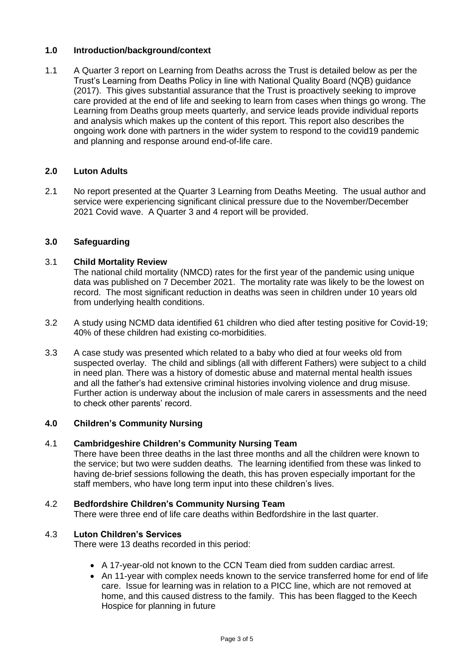## **1.0 Introduction/background/context**

1.1 A Quarter 3 report on Learning from Deaths across the Trust is detailed below as per the Trust's Learning from Deaths Policy in line with National Quality Board (NQB) guidance (2017). This gives substantial assurance that the Trust is proactively seeking to improve care provided at the end of life and seeking to learn from cases when things go wrong. The Learning from Deaths group meets quarterly, and service leads provide individual reports and analysis which makes up the content of this report. This report also describes the ongoing work done with partners in the wider system to respond to the covid19 pandemic and planning and response around end-of-life care.

# **2.0 Luton Adults**

2.1 No report presented at the Quarter 3 Learning from Deaths Meeting. The usual author and service were experiencing significant clinical pressure due to the November/December 2021 Covid wave. A Quarter 3 and 4 report will be provided.

# **3.0 Safeguarding**

# 3.1 **Child Mortality Review**

The national child mortality (NMCD) rates for the first year of the pandemic using unique data was published on 7 December 2021. The mortality rate was likely to be the lowest on record. The most significant reduction in deaths was seen in children under 10 years old from underlying health conditions.

- 3.2 A study using NCMD data identified 61 children who died after testing positive for Covid-19; 40% of these children had existing co-morbidities.
- 3.3 A case study was presented which related to a baby who died at four weeks old from suspected overlay. The child and siblings (all with different Fathers) were subject to a child in need plan. There was a history of domestic abuse and maternal mental health issues and all the father's had extensive criminal histories involving violence and drug misuse. Further action is underway about the inclusion of male carers in assessments and the need to check other parents' record.

## **4.0 Children's Community Nursing**

### 4.1 **Cambridgeshire Children's Community Nursing Team**

There have been three deaths in the last three months and all the children were known to the service; but two were sudden deaths. The learning identified from these was linked to having de-brief sessions following the death, this has proven especially important for the staff members, who have long term input into these children's lives.

4.2 **Bedfordshire Children's Community Nursing Team**

There were three end of life care deaths within Bedfordshire in the last quarter.

### 4.3 **Luton Children's Services**

There were 13 deaths recorded in this period:

- A 17-year-old not known to the CCN Team died from sudden cardiac arrest.
- An 11-year with complex needs known to the service transferred home for end of life care. Issue for learning was in relation to a PICC line, which are not removed at home, and this caused distress to the family. This has been flagged to the Keech Hospice for planning in future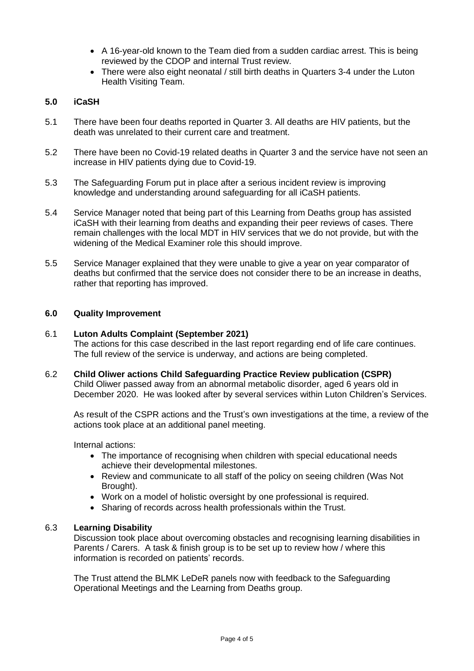- A 16-year-old known to the Team died from a sudden cardiac arrest. This is being reviewed by the CDOP and internal Trust review.
- There were also eight neonatal / still birth deaths in Quarters 3-4 under the Luton Health Visiting Team.

### **5.0 iCaSH**

- 5.1 There have been four deaths reported in Quarter 3. All deaths are HIV patients, but the death was unrelated to their current care and treatment.
- 5.2 There have been no Covid-19 related deaths in Quarter 3 and the service have not seen an increase in HIV patients dying due to Covid-19.
- 5.3 The Safeguarding Forum put in place after a serious incident review is improving knowledge and understanding around safeguarding for all iCaSH patients.
- 5.4 Service Manager noted that being part of this Learning from Deaths group has assisted iCaSH with their learning from deaths and expanding their peer reviews of cases. There remain challenges with the local MDT in HIV services that we do not provide, but with the widening of the Medical Examiner role this should improve.
- 5.5 Service Manager explained that they were unable to give a year on year comparator of deaths but confirmed that the service does not consider there to be an increase in deaths, rather that reporting has improved.

### **6.0 Quality Improvement**

#### 6.1 **Luton Adults Complaint (September 2021)**

The actions for this case described in the last report regarding end of life care continues. The full review of the service is underway, and actions are being completed.

6.2 **Child Oliwer actions Child Safeguarding Practice Review publication (CSPR)** Child Oliwer passed away from an abnormal metabolic disorder, aged 6 years old in December 2020. He was looked after by several services within Luton Children's Services.

As result of the CSPR actions and the Trust's own investigations at the time, a review of the actions took place at an additional panel meeting.

Internal actions:

- The importance of recognising when children with special educational needs achieve their developmental milestones.
- Review and communicate to all staff of the policy on seeing children (Was Not Brought).
- Work on a model of holistic oversight by one professional is required.
- Sharing of records across health professionals within the Trust.

### 6.3 **Learning Disability**

Discussion took place about overcoming obstacles and recognising learning disabilities in Parents / Carers. A task & finish group is to be set up to review how / where this information is recorded on patients' records.

The Trust attend the BLMK LeDeR panels now with feedback to the Safeguarding Operational Meetings and the Learning from Deaths group.